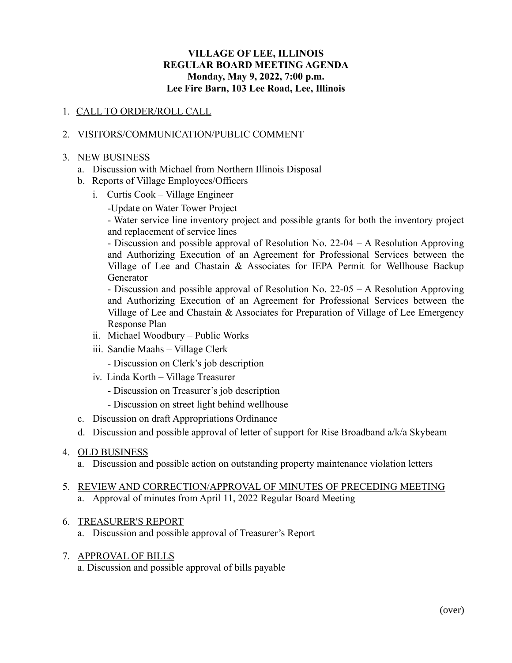### **VILLAGE OF LEE, ILLINOIS REGULAR BOARD MEETING AGENDA Monday, May 9, 2022, 7:00 p.m. Lee Fire Barn, 103 Lee Road, Lee, Illinois**

## 1. CALL TO ORDER/ROLL CALL

### 2. VISITORS/COMMUNICATION/PUBLIC COMMENT

#### 3. NEW BUSINESS

- a. Discussion with Michael from Northern Illinois Disposal
- b. Reports of Village Employees/Officers
	- i. Curtis Cook Village Engineer
		- -Update on Water Tower Project

- Water service line inventory project and possible grants for both the inventory project and replacement of service lines

- Discussion and possible approval of Resolution No. 22-04 – A Resolution Approving and Authorizing Execution of an Agreement for Professional Services between the Village of Lee and Chastain & Associates for IEPA Permit for Wellhouse Backup Generator

- Discussion and possible approval of Resolution No. 22-05 – A Resolution Approving and Authorizing Execution of an Agreement for Professional Services between the Village of Lee and Chastain & Associates for Preparation of Village of Lee Emergency Response Plan

- ii. Michael Woodbury Public Works
- iii. Sandie Maahs Village Clerk

- Discussion on Clerk's job description

- iv. Linda Korth Village Treasurer
	- Discussion on Treasurer's job description
	- Discussion on street light behind wellhouse
- c. Discussion on draft Appropriations Ordinance
- d. Discussion and possible approval of letter of support for Rise Broadband a/k/a Skybeam

#### 4. OLD BUSINESS

a. Discussion and possible action on outstanding property maintenance violation letters

### 5. REVIEW AND CORRECTION/APPROVAL OF MINUTES OF PRECEDING MEETING a. Approval of minutes from April 11, 2022 Regular Board Meeting

#### 6. TREASURER'S REPORT

a. Discussion and possible approval of Treasurer's Report

## 7. APPROVAL OF BILLS

a. Discussion and possible approval of bills payable